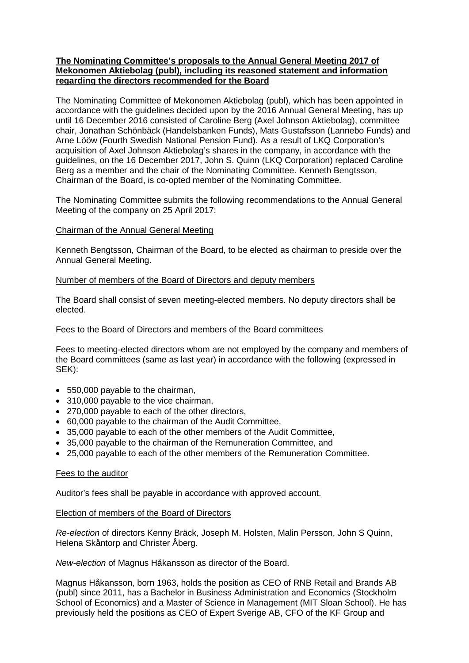## **The Nominating Committee's proposals to the Annual General Meeting 2017 of Mekonomen Aktiebolag (publ), including its reasoned statement and information regarding the directors recommended for the Board**

The Nominating Committee of Mekonomen Aktiebolag (publ), which has been appointed in accordance with the guidelines decided upon by the 2016 Annual General Meeting, has up until 16 December 2016 consisted of Caroline Berg (Axel Johnson Aktiebolag), committee chair, Jonathan Schönbäck (Handelsbanken Funds), Mats Gustafsson (Lannebo Funds) and Arne Lööw (Fourth Swedish National Pension Fund). As a result of LKQ Corporation's acquisition of Axel Johnson Aktiebolag's shares in the company, in accordance with the guidelines, on the 16 December 2017, John S. Quinn (LKQ Corporation) replaced Caroline Berg as a member and the chair of the Nominating Committee. Kenneth Bengtsson, Chairman of the Board, is co-opted member of the Nominating Committee.

The Nominating Committee submits the following recommendations to the Annual General Meeting of the company on 25 April 2017:

## Chairman of the Annual General Meeting

Kenneth Bengtsson, Chairman of the Board, to be elected as chairman to preside over the Annual General Meeting.

## Number of members of the Board of Directors and deputy members

The Board shall consist of seven meeting-elected members. No deputy directors shall be elected.

### Fees to the Board of Directors and members of the Board committees

Fees to meeting-elected directors whom are not employed by the company and members of the Board committees (same as last year) in accordance with the following (expressed in SEK):

- 550,000 payable to the chairman,
- 310,000 payable to the vice chairman,
- 270,000 payable to each of the other directors,
- 60,000 payable to the chairman of the Audit Committee,
- 35,000 payable to each of the other members of the Audit Committee,
- 35,000 payable to the chairman of the Remuneration Committee, and
- 25,000 payable to each of the other members of the Remuneration Committee.

#### Fees to the auditor

Auditor's fees shall be payable in accordance with approved account.

#### Election of members of the Board of Directors

*Re-election* of directors Kenny Bräck, Joseph M. Holsten, Malin Persson, John S Quinn, Helena Skåntorp and Christer Åberg.

*New-election* of Magnus Håkansson as director of the Board.

Magnus Håkansson, born 1963, holds the position as CEO of RNB Retail and Brands AB (publ) since 2011, has a Bachelor in Business Administration and Economics (Stockholm School of Economics) and a Master of Science in Management (MIT Sloan School). He has previously held the positions as CEO of Expert Sverige AB, CFO of the KF Group and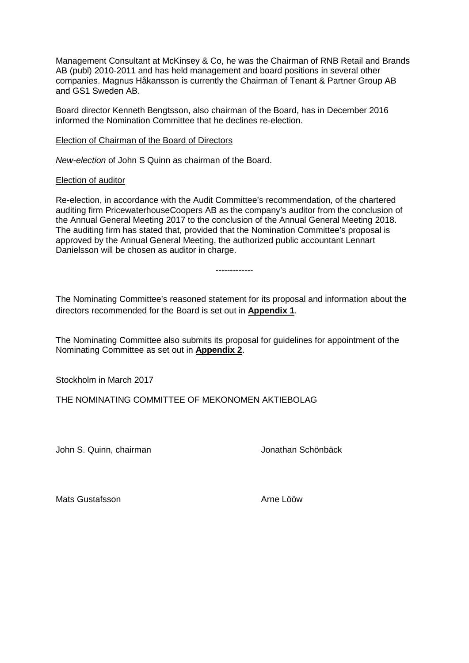Management Consultant at McKinsey & Co, he was the Chairman of RNB Retail and Brands AB (publ) 2010-2011 and has held management and board positions in several other companies. Magnus Håkansson is currently the Chairman of Tenant & Partner Group AB and GS1 Sweden AB.

Board director Kenneth Bengtsson, also chairman of the Board, has in December 2016 informed the Nomination Committee that he declines re-election.

Election of Chairman of the Board of Directors

*New-election* of John S Quinn as chairman of the Board.

#### Election of auditor

Re-election, in accordance with the Audit Committee's recommendation, of the chartered auditing firm PricewaterhouseCoopers AB as the company's auditor from the conclusion of the Annual General Meeting 2017 to the conclusion of the Annual General Meeting 2018. The auditing firm has stated that, provided that the Nomination Committee's proposal is approved by the Annual General Meeting, the authorized public accountant Lennart Danielsson will be chosen as auditor in charge.

-------------

The Nominating Committee's reasoned statement for its proposal and information about the directors recommended for the Board is set out in **Appendix 1**.

The Nominating Committee also submits its proposal for guidelines for appointment of the Nominating Committee as set out in **Appendix 2**.

Stockholm in March 2017

THE NOMINATING COMMITTEE OF MEKONOMEN AKTIEBOLAG

John S. Quinn, chairman Voltage and Jonathan Schönbäck

Mats Gustafsson and Arne Lööw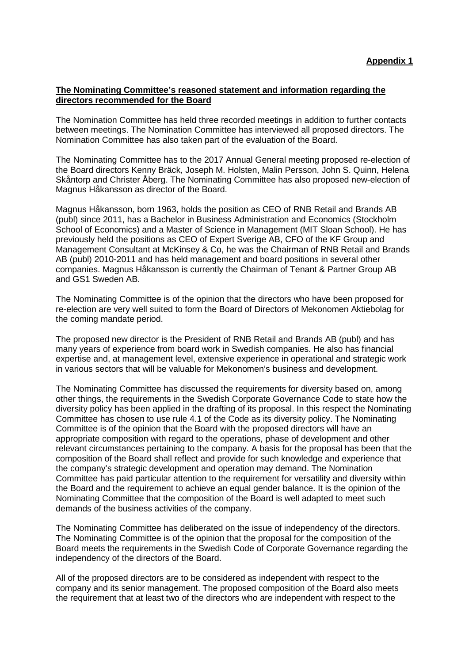#### **The Nominating Committee's reasoned statement and information regarding the directors recommended for the Board**

The Nomination Committee has held three recorded meetings in addition to further contacts between meetings. The Nomination Committee has interviewed all proposed directors. The Nomination Committee has also taken part of the evaluation of the Board.

The Nominating Committee has to the 2017 Annual General meeting proposed re-election of the Board directors Kenny Bräck, Joseph M. Holsten, Malin Persson, John S. Quinn, Helena Skåntorp and Christer Åberg. The Nominating Committee has also proposed new-election of Magnus Håkansson as director of the Board.

Magnus Håkansson, born 1963, holds the position as CEO of RNB Retail and Brands AB (publ) since 2011, has a Bachelor in Business Administration and Economics (Stockholm School of Economics) and a Master of Science in Management (MIT Sloan School). He has previously held the positions as CEO of Expert Sverige AB, CFO of the KF Group and Management Consultant at McKinsey & Co, he was the Chairman of RNB Retail and Brands AB (publ) 2010-2011 and has held management and board positions in several other companies. Magnus Håkansson is currently the Chairman of Tenant & Partner Group AB and GS1 Sweden AB.

The Nominating Committee is of the opinion that the directors who have been proposed for re-election are very well suited to form the Board of Directors of Mekonomen Aktiebolag for the coming mandate period.

The proposed new director is the President of RNB Retail and Brands AB (publ) and has many years of experience from board work in Swedish companies. He also has financial expertise and, at management level, extensive experience in operational and strategic work in various sectors that will be valuable for Mekonomen's business and development.

The Nominating Committee has discussed the requirements for diversity based on, among other things, the requirements in the Swedish Corporate Governance Code to state how the diversity policy has been applied in the drafting of its proposal. In this respect the Nominating Committee has chosen to use rule 4.1 of the Code as its diversity policy. The Nominating Committee is of the opinion that the Board with the proposed directors will have an appropriate composition with regard to the operations, phase of development and other relevant circumstances pertaining to the company. A basis for the proposal has been that the composition of the Board shall reflect and provide for such knowledge and experience that the company's strategic development and operation may demand. The Nomination Committee has paid particular attention to the requirement for versatility and diversity within the Board and the requirement to achieve an equal gender balance. It is the opinion of the Nominating Committee that the composition of the Board is well adapted to meet such demands of the business activities of the company.

The Nominating Committee has deliberated on the issue of independency of the directors. The Nominating Committee is of the opinion that the proposal for the composition of the Board meets the requirements in the Swedish Code of Corporate Governance regarding the independency of the directors of the Board.

All of the proposed directors are to be considered as independent with respect to the company and its senior management. The proposed composition of the Board also meets the requirement that at least two of the directors who are independent with respect to the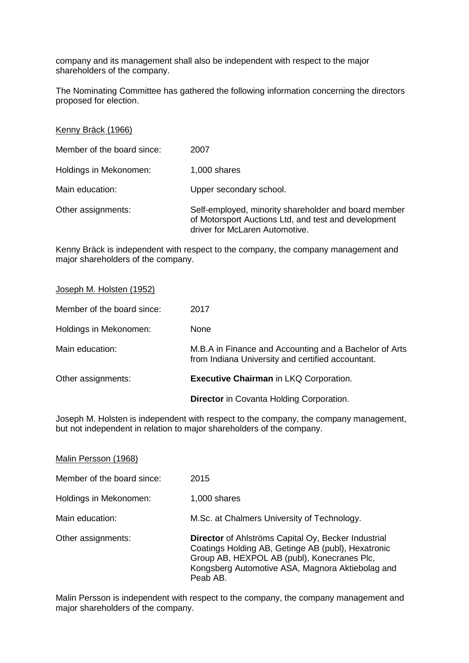company and its management shall also be independent with respect to the major shareholders of the company.

The Nominating Committee has gathered the following information concerning the directors proposed for election.

| Kenny Bräck (1966)         |                                                                                                                                                |
|----------------------------|------------------------------------------------------------------------------------------------------------------------------------------------|
| Member of the board since: | 2007                                                                                                                                           |
| Holdings in Mekonomen:     | 1,000 shares                                                                                                                                   |
| Main education:            | Upper secondary school.                                                                                                                        |
| Other assignments:         | Self-employed, minority shareholder and board member<br>of Motorsport Auctions Ltd, and test and development<br>driver for McLaren Automotive. |

Kenny Bräck is independent with respect to the company, the company management and major shareholders of the company.

|                            | <b>Director</b> in Covanta Holding Corporation.                                                             |
|----------------------------|-------------------------------------------------------------------------------------------------------------|
| Other assignments:         | <b>Executive Chairman in LKQ Corporation.</b>                                                               |
| Main education:            | M.B.A in Finance and Accounting and a Bachelor of Arts<br>from Indiana University and certified accountant. |
| Holdings in Mekonomen:     | None                                                                                                        |
| Member of the board since: | 2017                                                                                                        |
| Joseph M. Holsten (1952)   |                                                                                                             |

Joseph M. Holsten is independent with respect to the company, the company management, but not independent in relation to major shareholders of the company.

| Malin Persson (1968)       |                                                                                                                                                                                                                                 |
|----------------------------|---------------------------------------------------------------------------------------------------------------------------------------------------------------------------------------------------------------------------------|
| Member of the board since: | 2015                                                                                                                                                                                                                            |
| Holdings in Mekonomen:     | 1,000 shares                                                                                                                                                                                                                    |
| Main education:            | M.Sc. at Chalmers University of Technology.                                                                                                                                                                                     |
| Other assignments:         | <b>Director</b> of Ahlströms Capital Oy, Becker Industrial<br>Coatings Holding AB, Getinge AB (publ), Hexatronic<br>Group AB, HEXPOL AB (publ), Konecranes Plc,<br>Kongsberg Automotive ASA, Magnora Aktiebolag and<br>Peab AB. |

Malin Persson is independent with respect to the company, the company management and major shareholders of the company.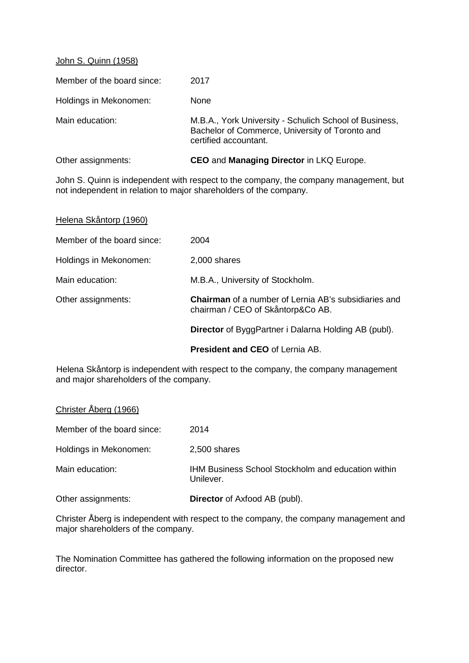## John S. Quinn (1958)

| Other assignments:         | <b>CEO</b> and <b>Managing Director</b> in LKQ Europe.                                                                             |
|----------------------------|------------------------------------------------------------------------------------------------------------------------------------|
| Main education:            | M.B.A., York University - Schulich School of Business,<br>Bachelor of Commerce, University of Toronto and<br>certified accountant. |
| Holdings in Mekonomen:     | None                                                                                                                               |
| Member of the board since: | 2017                                                                                                                               |

John S. Quinn is independent with respect to the company, the company management, but not independent in relation to major shareholders of the company.

| Helena Skåntorp (1960)     |                                                                                                  |
|----------------------------|--------------------------------------------------------------------------------------------------|
| Member of the board since: | 2004                                                                                             |
| Holdings in Mekonomen:     | 2,000 shares                                                                                     |
| Main education:            | M.B.A., University of Stockholm.                                                                 |
| Other assignments:         | <b>Chairman</b> of a number of Lernia AB's subsidiaries and<br>chairman / CEO of Skåntorp&Co AB. |
|                            | <b>Director</b> of ByggPartner i Dalarna Holding AB (publ).                                      |
|                            |                                                                                                  |

**President and CEO** of Lernia AB.

Helena Skåntorp is independent with respect to the company, the company management and major shareholders of the company.

| Christer Åberg (1966) |  |
|-----------------------|--|
|-----------------------|--|

Member of the board since: 2014 Holdings in Mekonomen: 2,500 shares Main education: IHM Business School Stockholm and education within Unilever.

Other assignments: **Director** of Axfood AB (publ).

Christer Åberg is independent with respect to the company, the company management and major shareholders of the company.

The Nomination Committee has gathered the following information on the proposed new director.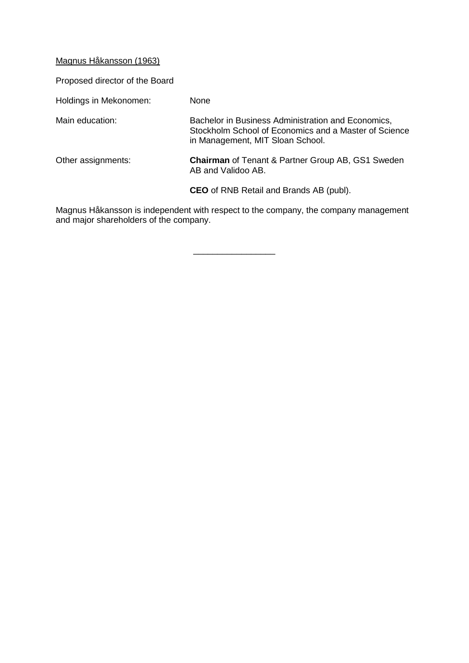Magnus Håkansson (1963)

Proposed director of the Board

| Holdings in Mekonomen: | None                                                                                                                                            |
|------------------------|-------------------------------------------------------------------------------------------------------------------------------------------------|
| Main education:        | Bachelor in Business Administration and Economics,<br>Stockholm School of Economics and a Master of Science<br>in Management, MIT Sloan School. |
| Other assignments:     | <b>Chairman</b> of Tenant & Partner Group AB, GS1 Sweden<br>AB and Validoo AB.                                                                  |
|                        | <b>CEO</b> of RNB Retail and Brands AB (publ).                                                                                                  |

Magnus Håkansson is independent with respect to the company, the company management and major shareholders of the company.

\_\_\_\_\_\_\_\_\_\_\_\_\_\_\_\_\_